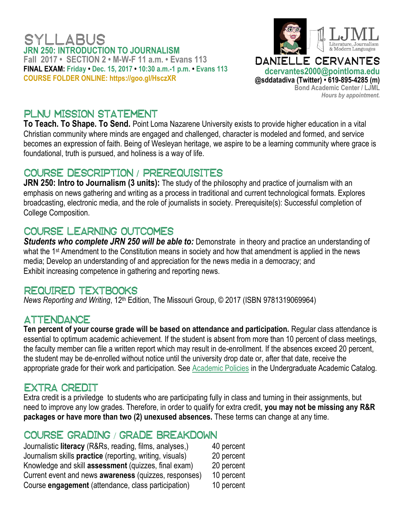### I ABUS **JRN 250: INTRODUCTION TO JOURNALISM Fall 2017 • SECTION 2 • M-W-F 11 a.m. • Evans 113 FINAL EXAM: Friday • Dec. 15, 2017 • 10:30 a.m.-1 p.m. • Evans 113 COURSE FOLDER ONLINE: https://goo.gl/HsczXR**



## PLNU MISSION STATEMENT

**To Teach. To Shape. To Send.** Point Loma Nazarene University exists to provide higher education in a vital Christian community where minds are engaged and challenged, character is modeled and formed, and service becomes an expression of faith. Being of Wesleyan heritage, we aspire to be a learning community where grace is foundational, truth is pursued, and holiness is a way of life.

## COURSE DESCRIPTION / PREREQUISITES

**JRN 250: Intro to Journalism (3 units):** The study of the philosophy and practice of journalism with an emphasis on news gathering and writing as a process in traditional and current technological formats. Explores broadcasting, electronic media, and the role of journalists in society. Prerequisite(s): Successful completion of College Composition.

## COURSE LEARNING OUTCOMES

**Students who complete JRN 250 will be able to:** Demonstrate in theory and practice an understanding of what the 1<sup>st</sup> Amendment to the Constitution means in society and how that amendment is applied in the news media; Develop an understanding of and appreciation for the news media in a democracy; and Exhibit increasing competence in gathering and reporting news.

## REQUIRED TEXTBOOKS

News Reporting and Writing, 12<sup>th</sup> Edition, The Missouri Group, © 2017 (ISBN 9781319069964)

# **ATTENDANCE**

**Ten percent of your course grade will be based on attendance and participation.** Regular class attendance is essential to optimum academic achievement. If the student is absent from more than 10 percent of class meetings, the faculty member can file a written report which may result in de-enrollment. If the absences exceed 20 percent, the student may be de-enrolled without notice until the university drop date or, after that date, receive the appropriate grade for their work and participation. See [Academic Policies](http://catalog.pointloma.edu/content.php?catoid=18&navoid=1278) in the Undergraduate Academic Catalog.

## EXTRA CREDIT

Extra credit is a priviledge to students who are participating fully in class and turning in their assignments, but need to improve any low grades. Therefore, in order to qualify for extra credit, **you may not be missing any R&R packages or have more than two (2) unexused absences.** These terms can change at any time.

## COURSE GRADING / GRADE BREAKDOWN

Journalistic **literacy** (R&Rs, reading, films, analyses,) 40 percent Journalism skills **practice** (reporting, writing, visuals) 20 percent Knowledge and skill **assessment** (quizzes, final exam) 20 percent Current event and news **awareness** (quizzes, responses) 10 percent Course **engagement** (attendance, class participation) 10 percent